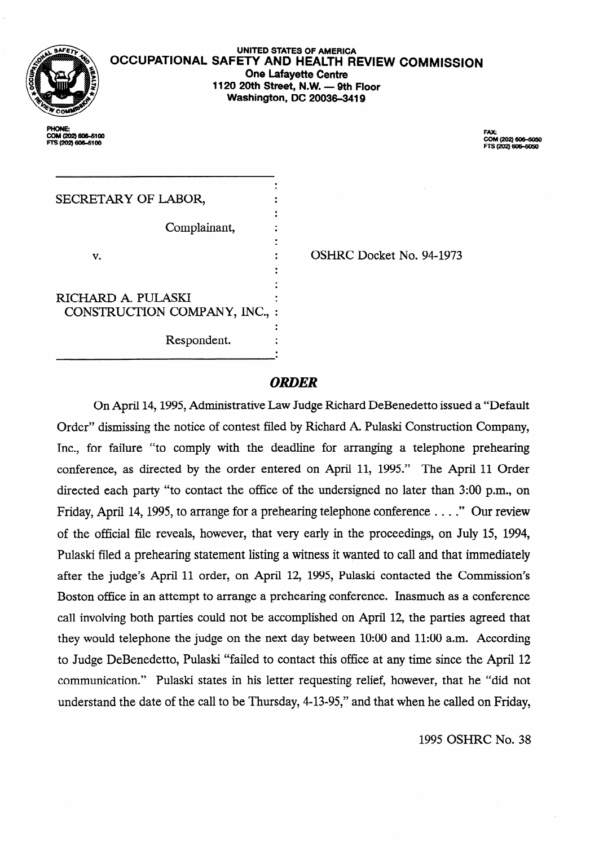

PHONE COM(202)606-5100 **rrS(202)606-6100** 

**UNITED STATES OF AMERICA OCCUPATIONAL SAFETY AND HEALTH REVIEW COMMISSION One Lafayette Centre 1120 20th Street, N.W. - 9th Floor Washington, DC 20036-3419** 

> FAX:<br>COM (202) 606-5050 TS (202) 606-5050

| SECRETARY OF LABOR,                               |  |
|---------------------------------------------------|--|
| Complainant,                                      |  |
| v.                                                |  |
| RICHARD A. PULASKI<br>CONSTRUCTION COMPANY, INC., |  |
| Respondent.                                       |  |

. OSHRC Docket No. 94-1973

### *ORDER*

On April 14,1995, Administrative Law Judge Richard DeBenedetto issued a "Default Order" dismissing the notice of contest filed by Richard A. Pulaski Construction Company, Inc., for failure "to comply with the deadline for arranging a telephone prehearing conference, as directed by the order entered on April 11, 1995." The April 11 Order directed each party "to contact the office of the undersigned no later than 3:00 p.m., on Friday, April 14,1995, to arrange for a prehearing telephone conference . . . ." Our review of the official file reveals, however, that very early in the proceedings, on July 15, 1994, Pulaski filed a prehearing statement listing a witness it wanted to call and that immediately after the judge's April 11 order, on April 12, 1995, Pulaski contacted the Commission's Boston office in an attempt to arrange a prehearing conference. Inasmuch as a conference call involving both parties could not be accomplished on April 12, the parties agreed that they would telephone the judge on the next day between 10:00 and 11:00 a.m. According to Judge DeBenedetto, Pulaski "failed to contact this office at any time since the April 12 communication." Pulaski states in his letter requesting relief, however, that he "did not understand the date of the call to be Thursday, 4-13-95," and that when he called on Friday,

1995 OSHRC No. 38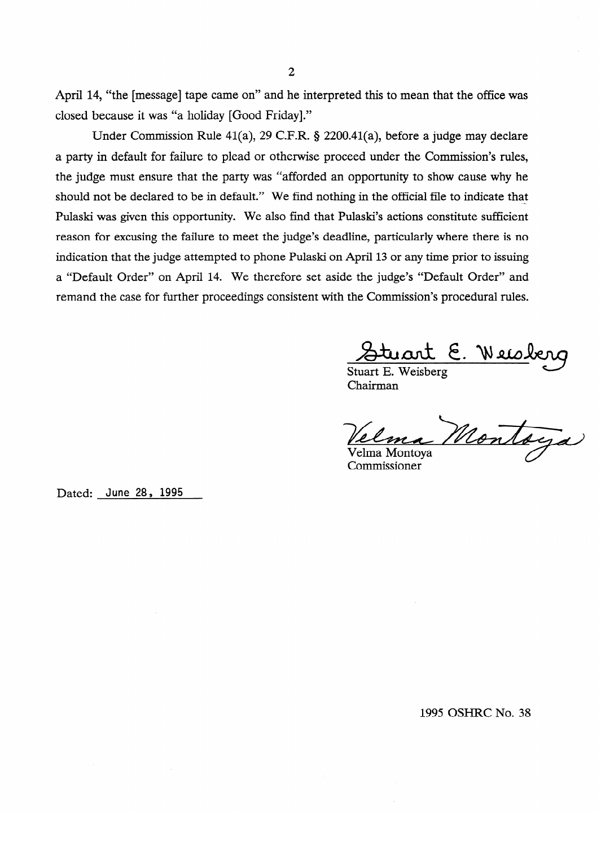April 14, "the [message] tape came on" and he interpreted this to mean that the office was closed because it was "a holiday [Good Friday]."

Under Commission Rule 41(a), 29 C.F.R. § 2200.41(a), before a judge may declare a party in default for failure to plead or otherwise proceed under the Commission's rules, the judge must ensure that the party was "afforded an opportunity to show cause why he should not be declared to be in default." We find nothing in the official file to indicate that Pulaski was given this opportunity. We also find that Pulaski's actions constitute sufficient reason for excusing the failure to meet the judge's deadline, particularly where there is no indication that the judge attempted to phone Pulaski on April 13 or any time prior to issuing a "Default Order" on April 14. We therefore set aside the judge's "Default Order" and remand the case for further proceedings consistent with the Commission's procedural rules.

Stuart E. Well

Chairman

Montaga Velma Montoya

Commissioner

Dated: June 28, 1995

1995 OSHRC No. 38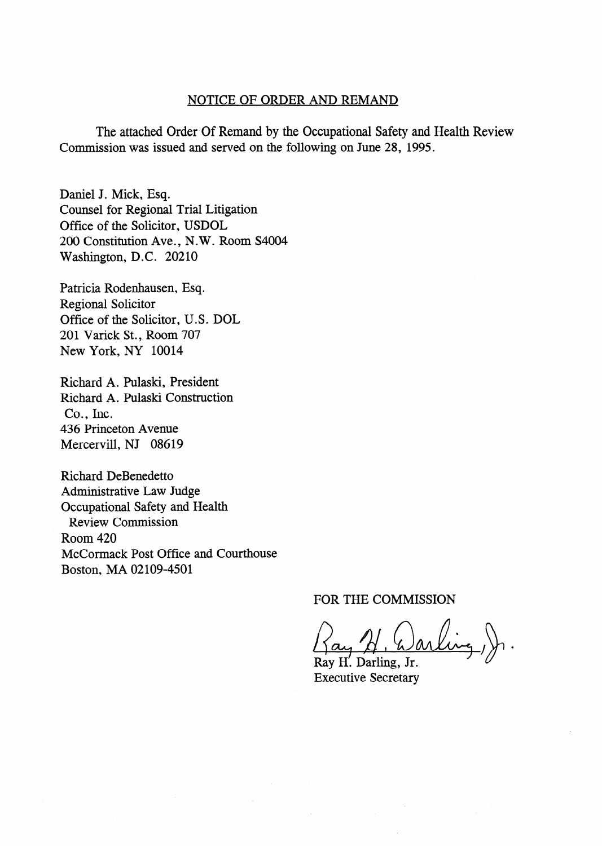#### NOTICE OF ORDER AND REMAND

The attached Order Of Remand by the Occupational Safety and Health Review Commission was issued and served on the following on June 28, 1995.

Daniel J. Mick, Esq. Counsel for Regional Trial Litigation Office of the Solicitor, USDOL 200 Constitution Ave., N.W. Room S4004 Washington, D.C. 20210

Patricia Rodenhausen, Esq. Regional Solicitor Office of the Solicitor, U.S. DOL 201 Varick St., Room 707 New York, NY 10014

Richard A. Pulaski, President Richard A. Pulaski Construction Co., Inc. 436 Princeton Avenue Mercervill, NJ 08619

Richard DeBenedetto Administrative Law Judge Occupational Safety and Health Review Commission Room 420 McCormack Post Office and Courthouse Boston, MA 02109-4501

FOR THE COMMISSION

 $\alpha, \beta$ , Warl

Ray H. Darling, Jr. Executive Secretary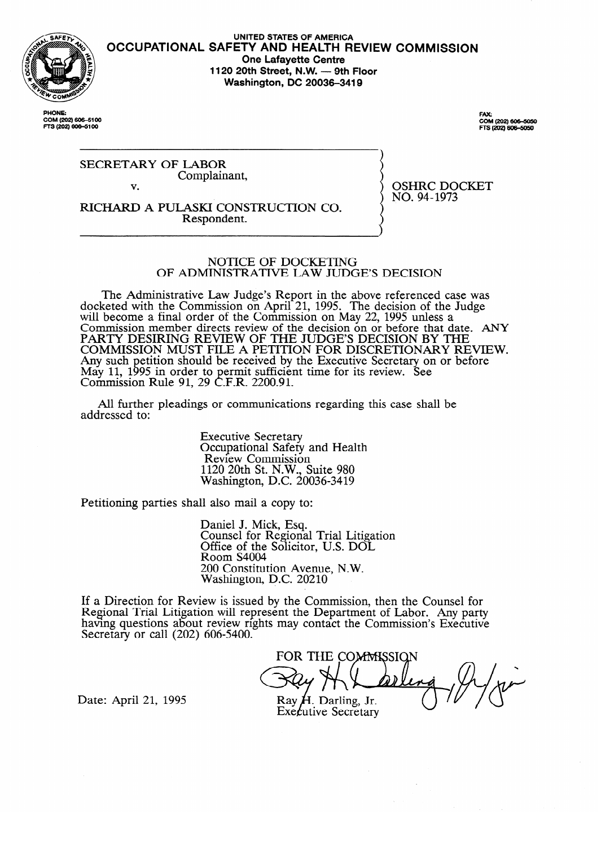

**COM (202) 606-5100 FTS (202) 606-5100** 

UNITED STATES OF AMERICA **OCCUPATIONAL SAFETY AND HEALTH REVIEW COMMISSION One Lafayette Centre 1120 20th Street, N.W. - 9th Floor Washington, DC 20036-3419** 

> FAX: rax:<br>COM (202) 606–5050<br>FTS (202) 606–5050

OSHRC DOCKET<br>NO. 94-1973

**SECRETARY OF LABOR** Complainant. Complainant,  $\overline{\mathbf{v}}$ .

RICHARD A PULASKI CONSTRUCTION CO. Respondent. Respondent.

# NOTICE OF DOCKETING

OF ADMINISTRATIVE LAW JUDGE'S DECISION

OF ADMINISTRATIVE LAW JUDGE'S DECISION  $\epsilon$  and  $\epsilon$  are  $\epsilon$  and  $\epsilon$  above  $\epsilon$  above  $\epsilon$  above  $\epsilon$  above references was above reference of the  $\epsilon$  case was above  $\epsilon$  and  $\epsilon$  and  $\epsilon$  and  $\epsilon$  and  $\epsilon$  and  $\epsilon$  and  $\epsilon$  and  $\epsilon$  and  $\epsilon$  and  $\epsilon$  and  $\$ will become a final order of the Commission on May 22, 1995 unless a commission of the Judge of the Judge Commission of the Judge COMMISSION MEMDET QUECUS TEVIEW OF THE QECISION ON OF DEFOTE THAT Q:<br>DA DTV DESIDING DEVIEW OF THE HIDGE'S DEGISION BY TH FANTI DESINING NEVIEW OF THE JUDGE'S DECISION DI THE TONATE WAS COMMISSED FOR BEFORE THAT DEVIEW. COMMISSION MOST FILE A FETTITON FOR DISCRETIONART RE Any such pennon should be received by the Executive secretary on or before way 11, 1<br>Commissi Communission  $\frac{1}{2}$  by the central subset of the Eq. is the Executive Secretary on  $\frac{1}{2}$  on  $\frac{1}{2}$  B  $\frac{1}{2}$  D  $\frac{1}{2}$  B  $\frac{1}{2}$  D  $\frac{1}{2}$  B  $\frac{1}{2}$  D  $\frac{1}{2}$  B  $\frac{1}{2}$  D  $\frac{1}{2}$  B  $\frac{1}{2}$  D  $\frac{1}{2}$  B  $\frac$ 1011 Kuit 71,  $27$  C.F.K.  $2200.71$ .

All further pleadings or communications regarding this case shall be  $\alpha$  all further pleadings or communications regarding the shall behall behall behall behall behall behall behall behall behall behall behall behall behall behall behall behall behall behall behall behall behall behall be

> **Executive Secretary** Occupational Safety and Health<br>Review Commission  $1120$  20th St. N.W., Suite 980  $N$ ashington, D.C. 20  $1120$

Petitioning parties shall also mail a copy to:

Daniel J. Mick, Esq.<br>Counsel for Regional Trial Litigation Office of the Solicitor, U.S. DOL Room S4004 200 Constitution Avenue, N.W. Washington, D.C. 20210

 $2000$  Constitution Avenue, N.W.  $ew$  is issued by the Com having questions about review rights may contact the Commission's Executive Secretary or call  $(202)$  606-5400.

FOR THE COMMISSION Ray  $H$ . Darling, Jr.

Date: April 21, 1995

Executive Secretary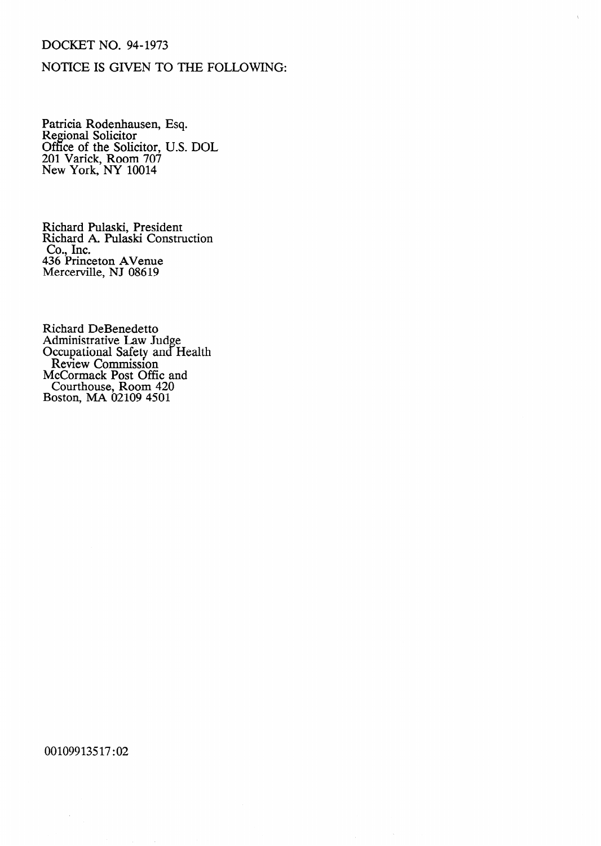## DOCKET NO. 94-1973

## NOTICE IS GIVEN TO THE FOLLOWING:

Patricia Rodenhausei Regional Solicitor Office of the Solicitor 201 Varick, Room 707 New York, NY 10014 Esq. U.S. DOL

Richard Pulaski, President Richard A. Pulaski Construction  $Co<sub>2</sub>$  Inc. 436 Princeton AVenue Mercerville, NJ 086 19

Richard DeBenedett Administrative Law Jud Occupational Safety and e. **Health** Review Commission McCormack Post Offic and Courthouse, Room 420 Boston, MA 02109 4501

00109913517:02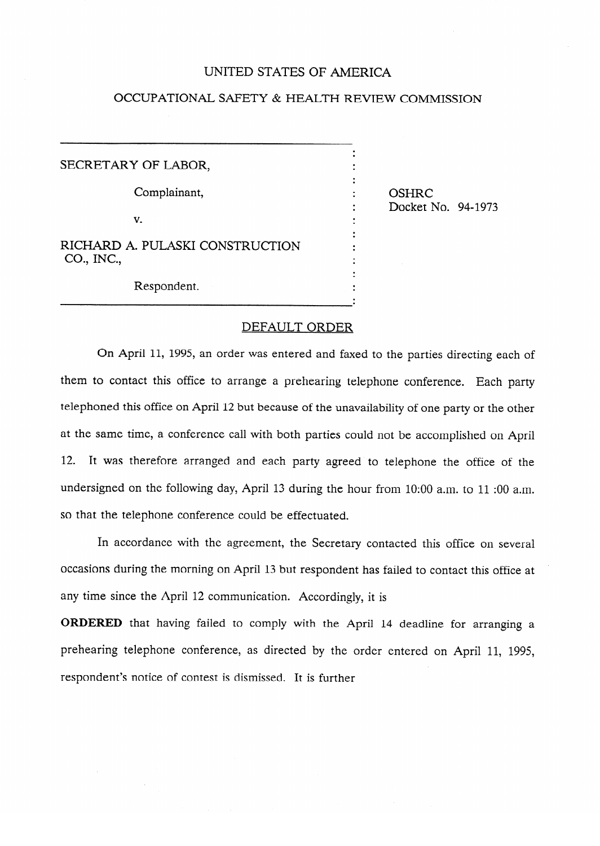### UNITED STATES OF AMERICA

## OCCUPATIONAL SAFETY & HEALTH REVIEW COMMISSION

.

.<br>.

.<br>.

.

SECRETARY OF LABOR, Complainant, v. . RICHARD A. PULASKI CONSTRUCTION  $CO<sub>n</sub>$  INC.

OSHRC<br>Docket No. 94-1973  $\overline{a}$  ,  $\overline{b}$ 

Respondent. Respondent.

#### DEFAULT ORDER

On April 11, 1995, an order was entered and faxed to the parties directing each of telephoned this office on April 12 but because of the unavailability of one party or the other at the same time, a conference call with both parties could not be accomplished on April 12. It was therefore arranged and each party agreed to telephone the office of the undersigned on the following day, April 13 during the hour from 10:00 a.m. to 11:00 a.m. so that the telephone conference could be effectuated.

In accordance with the agreement, the Secretary contacted this office on several occasions during the morning on April 13 but respondent has failed to contact this office at any time since the April 12 communication. Accordingly, it is

ORDERED that having failed to comply with the April 14 deadline for arranging a prehearing telephone conference, as directed by the order entered on April 11, 1995, respondent's notice of contest is dismissed. It is further